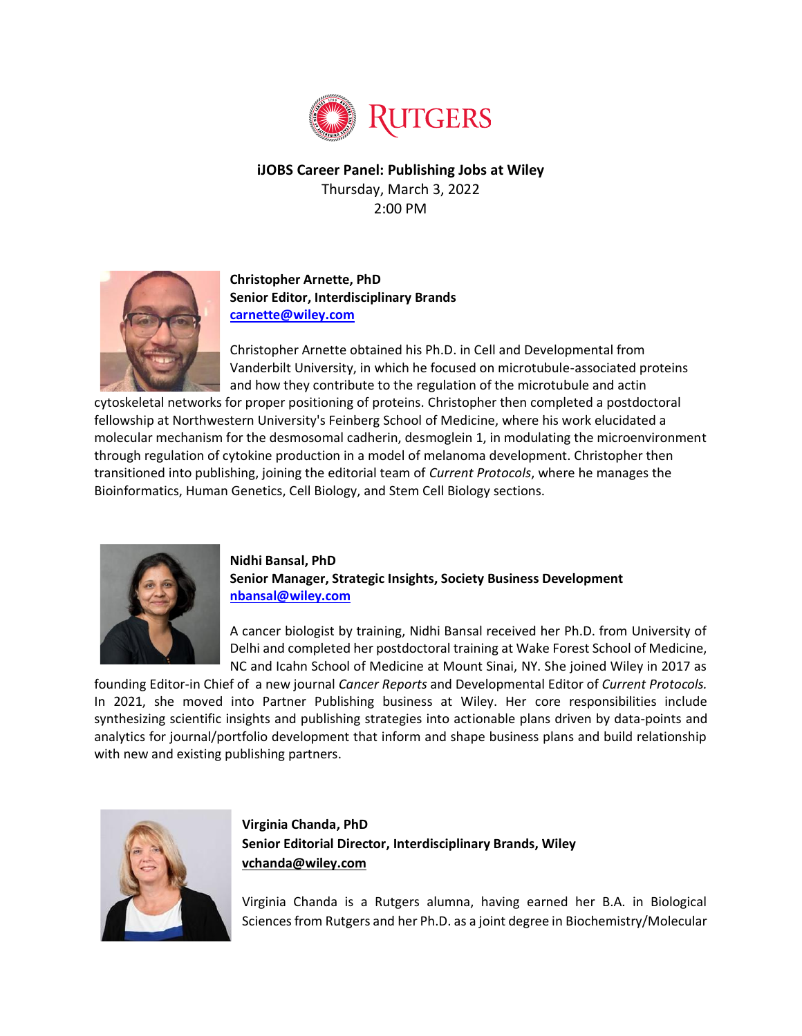

**iJOBS Career Panel: Publishing Jobs at Wiley** Thursday, March 3, 2022 2:00 PM



**Christopher Arnette, PhD Senior Editor, Interdisciplinary Brands [carnette@wiley.com](mailto:carnette@wiley.com)**

Christopher Arnette obtained his Ph.D. in Cell and Developmental from Vanderbilt University, in which he focused on microtubule-associated proteins and how they contribute to the regulation of the microtubule and actin

cytoskeletal networks for proper positioning of proteins. Christopher then completed a postdoctoral fellowship at Northwestern University's Feinberg School of Medicine, where his work elucidated a molecular mechanism for the desmosomal cadherin, desmoglein 1, in modulating the microenvironment through regulation of cytokine production in a model of melanoma development. Christopher then transitioned into publishing, joining the editorial team of *Current Protocols*, where he manages the Bioinformatics, Human Genetics, Cell Biology, and Stem Cell Biology sections.



## **Nidhi Bansal, PhD Senior Manager, Strategic Insights, Society Business Development [nbansal@wiley.com](mailto:nbansal@wiley.com)**

A cancer biologist by training, Nidhi Bansal received her Ph.D. from University of Delhi and completed her postdoctoral training at Wake Forest School of Medicine, NC and Icahn School of Medicine at Mount Sinai, NY. She joined Wiley in 2017 as

founding Editor-in Chief of a new journal *Cancer Reports* and Developmental Editor of *Current Protocols.*  In 2021, she moved into Partner Publishing business at Wiley. Her core responsibilities include synthesizing scientific insights and publishing strategies into actionable plans driven by data-points and analytics for journal/portfolio development that inform and shape business plans and build relationship with new and existing publishing partners.



**Virginia Chanda, PhD Senior Editorial Director, Interdisciplinary Brands, Wiley [vchanda@wiley.com](mailto:vchanda@wiley.com)**

Virginia Chanda is a Rutgers alumna, having earned her B.A. in Biological Sciences from Rutgers and her Ph.D. as a joint degree in Biochemistry/Molecular